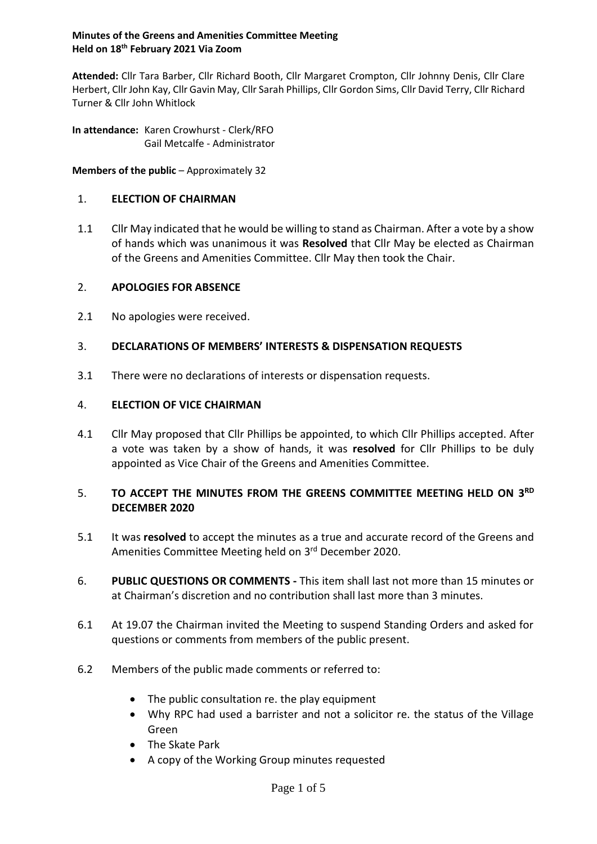#### **Minutes of the Greens and Amenities Committee Meeting Held on 18th February 2021 Via Zoom**

**Attended:** Cllr Tara Barber, Cllr Richard Booth, Cllr Margaret Crompton, Cllr Johnny Denis, Cllr Clare Herbert, Cllr John Kay, Cllr Gavin May, Cllr Sarah Phillips, Cllr Gordon Sims, Cllr David Terry, Cllr Richard Turner & Cllr John Whitlock

**In attendance:** Karen Crowhurst - Clerk/RFO Gail Metcalfe - Administrator

**Members of the public** – Approximately 32

### 1. **ELECTION OF CHAIRMAN**

1.1 Cllr May indicated that he would be willing to stand as Chairman. After a vote by a show of hands which was unanimous it was **Resolved** that Cllr May be elected as Chairman of the Greens and Amenities Committee. Cllr May then took the Chair.

## 2. **APOLOGIES FOR ABSENCE**

2.1 No apologies were received.

# 3. **DECLARATIONS OF MEMBERS' INTERESTS & DISPENSATION REQUESTS**

3.1 There were no declarations of interests or dispensation requests.

## 4. **ELECTION OF VICE CHAIRMAN**

4.1 Cllr May proposed that Cllr Phillips be appointed, to which Cllr Phillips accepted. After a vote was taken by a show of hands, it was **resolved** for Cllr Phillips to be duly appointed as Vice Chair of the Greens and Amenities Committee.

# 5. TO ACCEPT THE MINUTES FROM THE GREENS COMMITTEE MEETING HELD ON 3RD **DECEMBER 2020**

- 5.1 It was **resolved** to accept the minutes as a true and accurate record of the Greens and Amenities Committee Meeting held on 3<sup>rd</sup> December 2020.
- 6. **PUBLIC QUESTIONS OR COMMENTS -** This item shall last not more than 15 minutes or at Chairman's discretion and no contribution shall last more than 3 minutes.
- 6.1 At 19.07 the Chairman invited the Meeting to suspend Standing Orders and asked for questions or comments from members of the public present.
- 6.2 Members of the public made comments or referred to:
	- The public consultation re. the play equipment
	- Why RPC had used a barrister and not a solicitor re. the status of the Village Green
	- The Skate Park
	- A copy of the Working Group minutes requested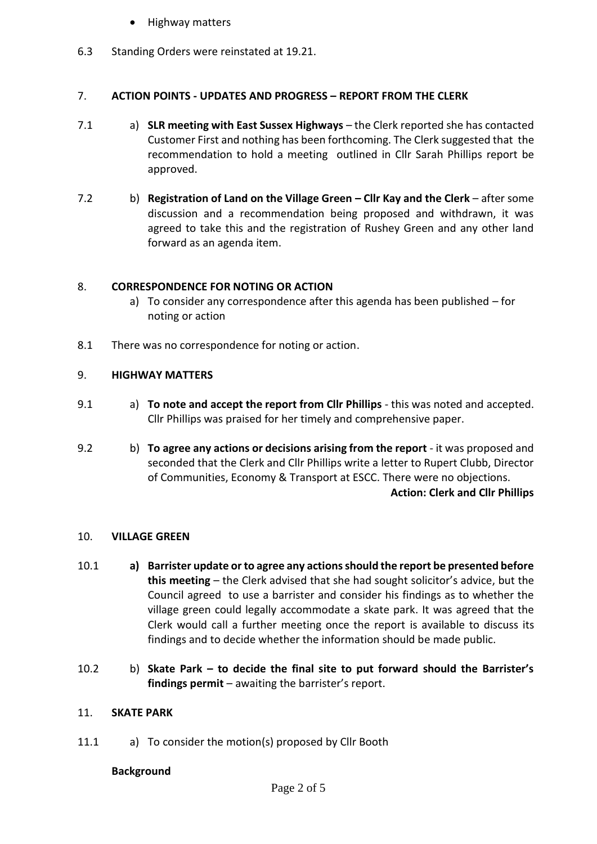- Highway matters
- 6.3 Standing Orders were reinstated at 19.21.

### 7. **ACTION POINTS - UPDATES AND PROGRESS – REPORT FROM THE CLERK**

- 7.1 a) **SLR meeting with East Sussex Highways** the Clerk reported she has contacted Customer First and nothing has been forthcoming. The Clerk suggested that the recommendation to hold a meeting outlined in Cllr Sarah Phillips report be approved.
- 7.2 b) **Registration of Land on the Village Green – Cllr Kay and the Clerk** after some discussion and a recommendation being proposed and withdrawn, it was agreed to take this and the registration of Rushey Green and any other land forward as an agenda item.

### 8. **CORRESPONDENCE FOR NOTING OR ACTION**

- a) To consider any correspondence after this agenda has been published for noting or action
- 8.1 There was no correspondence for noting or action.

### 9. **HIGHWAY MATTERS**

- 9.1 a) **To note and accept the report from Cllr Phillips** this was noted and accepted. Cllr Phillips was praised for her timely and comprehensive paper.
- 9.2 b) **To agree any actions or decisions arising from the report** it was proposed and seconded that the Clerk and Cllr Phillips write a letter to Rupert Clubb, Director of Communities, Economy & Transport at ESCC. There were no objections. **Action: Clerk and Cllr Phillips**

#### 10. **VILLAGE GREEN**

- 10.1 **a) Barrister update or to agree any actions should the report be presented before this meeting** – the Clerk advised that she had sought solicitor's advice, but the Council agreed to use a barrister and consider his findings as to whether the village green could legally accommodate a skate park. It was agreed that the Clerk would call a further meeting once the report is available to discuss its findings and to decide whether the information should be made public.
- 10.2 b) **Skate Park – to decide the final site to put forward should the Barrister's findings permit** – awaiting the barrister's report.

#### 11. **SKATE PARK**

11.1 a) To consider the motion(s) proposed by Cllr Booth

#### **Background**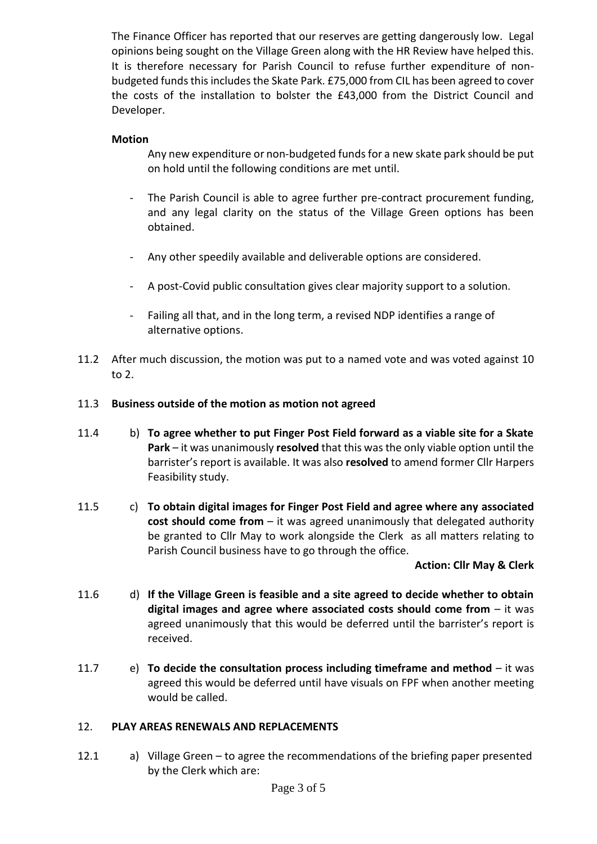The Finance Officer has reported that our reserves are getting dangerously low. Legal opinions being sought on the Village Green along with the HR Review have helped this. It is therefore necessary for Parish Council to refuse further expenditure of nonbudgeted funds this includes the Skate Park. £75,000 from CIL has been agreed to cover the costs of the installation to bolster the £43,000 from the District Council and Developer.

### **Motion**

Any new expenditure or non-budgeted funds for a new skate park should be put on hold until the following conditions are met until.

- The Parish Council is able to agree further pre-contract procurement funding, and any legal clarity on the status of the Village Green options has been obtained.
- Any other speedily available and deliverable options are considered.
- A post-Covid public consultation gives clear majority support to a solution.
- Failing all that, and in the long term, a revised NDP identifies a range of alternative options.
- 11.2 After much discussion, the motion was put to a named vote and was voted against 10 to 2.

#### 11.3 **Business outside of the motion as motion not agreed**

- 11.4 b) **To agree whether to put Finger Post Field forward as a viable site for a Skate Park** – it was unanimously **resolved** that this was the only viable option until the barrister's report is available. It was also **resolved** to amend former Cllr Harpers Feasibility study.
- 11.5 c) **To obtain digital images for Finger Post Field and agree where any associated cost should come from** – it was agreed unanimously that delegated authority be granted to Cllr May to work alongside the Clerk as all matters relating to Parish Council business have to go through the office.

#### **Action: Cllr May & Clerk**

- 11.6 d) **If the Village Green is feasible and a site agreed to decide whether to obtain digital images and agree where associated costs should come from** – it was agreed unanimously that this would be deferred until the barrister's report is received.
- 11.7 e) **To decide the consultation process including timeframe and method** it was agreed this would be deferred until have visuals on FPF when another meeting would be called.

#### 12. **PLAY AREAS RENEWALS AND REPLACEMENTS**

12.1 a) Village Green – to agree the recommendations of the briefing paper presented by the Clerk which are: